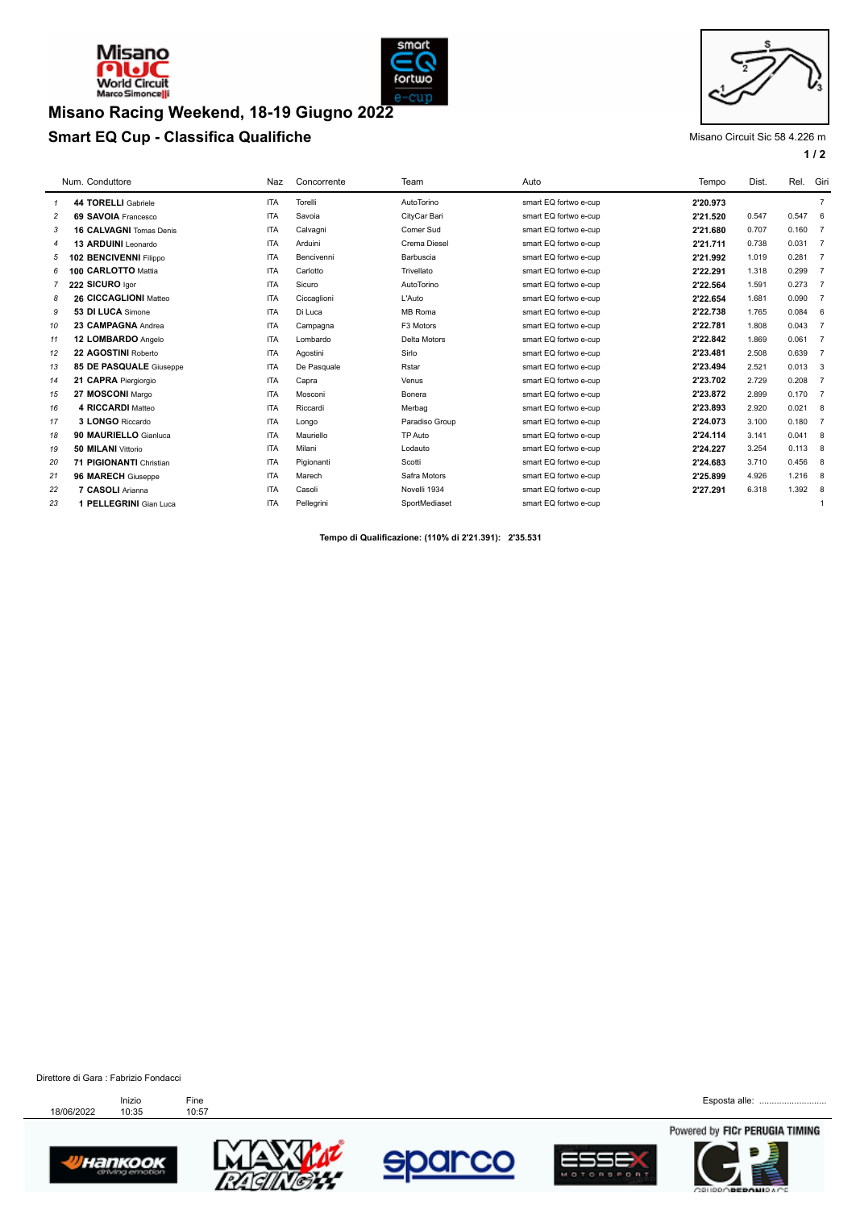



### **Smart EQ Cup - Classifica Qualifiche** Misano Circuit Sic 58 4.226 m **Misano Racing Weekend, 18-19 Giugno 2022**



# **1 / 2**

|                | Num. Conduttore                | Naz        | Concorrente | Team           | Auto                  | Tempo    | Dist. | Rel.      | Giri           |
|----------------|--------------------------------|------------|-------------|----------------|-----------------------|----------|-------|-----------|----------------|
| 1              | 44 TORELLI Gabriele            | <b>ITA</b> | Torelli     | AutoTorino     | smart EQ fortwo e-cup | 2'20.973 |       |           | $\overline{7}$ |
| $\overline{c}$ | 69 SAVOIA Francesco            | <b>ITA</b> | Savoia      | CityCar Bari   | smart EQ fortwo e-cup | 2'21.520 | 0.547 | 0.547 6   |                |
| 3              | 16 CALVAGNI Tomas Denis        | <b>ITA</b> | Calvagni    | Comer Sud      | smart EQ fortwo e-cup | 2'21.680 | 0.707 | $0.160$ 7 |                |
| 4              | 13 ARDUINI Leonardo            | <b>ITA</b> | Arduini     | Crema Diesel   | smart EQ fortwo e-cup | 2'21.711 | 0.738 | 0.031 7   |                |
| 5              | 102 BENCIVENNI Filippo         | <b>ITA</b> | Bencivenni  | Barbuscia      | smart EQ fortwo e-cup | 2'21.992 | 1.019 | 0.281 7   |                |
| 6              | 100 CARLOTTO Mattia            | <b>ITA</b> | Carlotto    | Trivellato     | smart EQ fortwo e-cup | 2'22.291 | 1.318 | 0.299     | $\overline{7}$ |
|                | 222 SICURO Igor                | <b>ITA</b> | Sicuro      | AutoTorino     | smart EQ fortwo e-cup | 2'22.564 | 1.591 | $0.273$ 7 |                |
| 8              | 26 CICCAGLIONI Matteo          | <b>ITA</b> | Ciccaglioni | L'Auto         | smart EQ fortwo e-cup | 2'22.654 | 1.681 | 0.090     | $\overline{7}$ |
| 9              | 53 DI LUCA Simone              | <b>ITA</b> | Di Luca     | MB Roma        | smart EQ fortwo e-cup | 2'22.738 | 1.765 | 0.084     | - 6            |
| 10             | 23 CAMPAGNA Andrea             | <b>ITA</b> | Campagna    | F3 Motors      | smart EQ fortwo e-cup | 2'22.781 | 1.808 | 0.043     | $\overline{7}$ |
| 11             | 12 LOMBARDO Angelo             | <b>ITA</b> | Lombardo    | Delta Motors   | smart EQ fortwo e-cup | 2'22.842 | 1.869 | $0.061$ 7 |                |
| 12             | 22 AGOSTINI Roberto            | <b>ITA</b> | Agostini    | Sirlo          | smart EQ fortwo e-cup | 2'23.481 | 2.508 | 0.639     | $\overline{7}$ |
| 13             | <b>85 DE PASQUALE Giuseppe</b> | <b>ITA</b> | De Pasquale | Rstar          | smart EQ fortwo e-cup | 2'23.494 | 2.521 | 0.013     | 3              |
| 14             | 21 CAPRA Piergiorgio           | <b>ITA</b> | Capra       | Venus          | smart EQ fortwo e-cup | 2'23.702 | 2.729 | 0.208     | $\overline{7}$ |
| 15             | 27 MOSCONI Margo               | <b>ITA</b> | Mosconi     | Bonera         | smart EQ fortwo e-cup | 2'23.872 | 2.899 | 0.170     | $\overline{7}$ |
| 16             | 4 RICCARDI Matteo              | <b>ITA</b> | Riccardi    | Merbag         | smart EQ fortwo e-cup | 2'23.893 | 2.920 | 0.021     | 8              |
| 17             | 3 LONGO Riccardo               | <b>ITA</b> | Longo       | Paradiso Group | smart EQ fortwo e-cup | 2'24.073 | 3.100 | 0.180     | $\overline{7}$ |
| 18             | 90 MAURIELLO Gianluca          | <b>ITA</b> | Mauriello   | TP Auto        | smart EQ fortwo e-cup | 2'24.114 | 3.141 | 0.041     | 8              |
| 19             | 50 MILANI Vittorio             | <b>ITA</b> | Milani      | Lodauto        | smart EQ fortwo e-cup | 2'24.227 | 3.254 | 0.113     | 8              |
| 20             | 71 PIGIONANTI Christian        | <b>ITA</b> | Pigionanti  | Scotti         | smart EQ fortwo e-cup | 2'24.683 | 3.710 | 0.456     | 8              |
| 21             | 96 MARECH Giuseppe             | <b>ITA</b> | Marech      | Safra Motors   | smart EQ fortwo e-cup | 2'25.899 | 4.926 | 1.216     | -8             |
| 22             | 7 CASOLI Arianna               | <b>ITA</b> | Casoli      | Novelli 1934   | smart EQ fortwo e-cup | 2'27.291 | 6.318 | 1.392     | 8              |
| 23             | 1 PELLEGRINI Gian Luca         | <b>ITA</b> | Pellegrini  | SportMediaset  | smart EQ fortwo e-cup |          |       |           | $\mathbf{1}$   |
|                |                                |            |             |                |                       |          |       |           |                |

**Tempo di Qualificazione: (110% di 2'21.391): 2'35.531** 

Direttore di Gara : Fabrizio Fondacci











Esposta alle: ..........